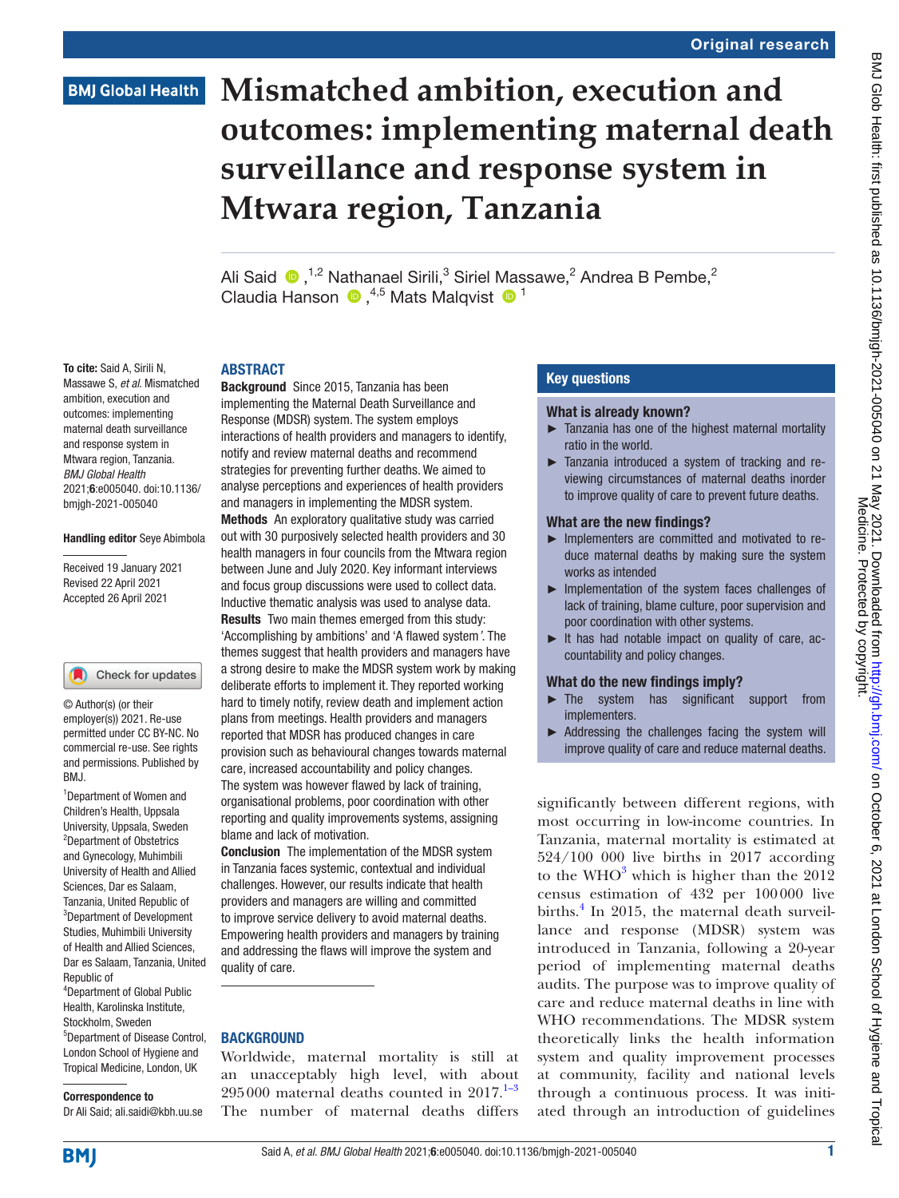## **BMJ Global Health**

# **Mismatched ambition, execution and outcomes: implementing maternal death surveillance and response system in Mtwara region, Tanzania**

Ali Said  $\bigcirc$ , <sup>1,2</sup> Nathanael Sirili,<sup>3</sup> Siriel Massawe,<sup>2</sup> Andrea B Pembe,<sup>2</sup> Claudia Hanson  $\bigcirc$ , <sup>4,5</sup> Mats Malqvist  $\bigcirc$ <sup>1</sup>

### **ARSTRACT**

To cite: Said A, Sirili N, Massawe S, *et al*. Mismatched ambition, execution and outcomes: implementing maternal death surveillance and response system in Mtwara region, Tanzania. *BMJ Global Health* 2021;6:e005040. doi:10.1136/ bmjgh-2021-005040

### Handling editor Seye Abimbola

Received 19 January 2021 Revised 22 April 2021 Accepted 26 April 2021

### Check for updates

© Author(s) (or their employer(s)) 2021. Re-use permitted under CC BY-NC. No commercial re-use. See rights and permissions. Published by BMJ.

<sup>1</sup>Department of Women and Children's Health, Uppsala University, Uppsala, Sweden <sup>2</sup>Department of Obstetrics and Gynecology, Muhimbili University of Health and Allied Sciences, Dar es Salaam, Tanzania, United Republic of 3 Department of Development Studies, Muhimbili University of Health and Allied Sciences, Dar es Salaam, Tanzania, United Republic of 4 Department of Global Public Health, Karolinska Institute, Stockholm, Sweden 5 Department of Disease Control, London School of Hygiene and Tropical Medicine, London, UK

### Correspondence to

Dr Ali Said; ali.saidi@kbh.uu.se

implementing the Maternal Death Surveillance and Response (MDSR) system. The system employs interactions of health providers and managers to identify, notify and review maternal deaths and recommend strategies for preventing further deaths. We aimed to analyse perceptions and experiences of health providers and managers in implementing the MDSR system. Methods An exploratory qualitative study was carried out with 30 purposively selected health providers and 30 health managers in four councils from the Mtwara region between June and July 2020. Key informant interviews and focus group discussions were used to collect data. Inductive thematic analysis was used to analyse data. **Results** Two main themes emerged from this study: 'Accomplishing by ambitions' and 'A flawed system*'*. The themes suggest that health providers and managers have a strong desire to make the MDSR system work by making deliberate efforts to implement it. They reported working hard to timely notify, review death and implement action plans from meetings. Health providers and managers reported that MDSR has produced changes in care provision such as behavioural changes towards maternal care, increased accountability and policy changes. The system was however flawed by lack of training, organisational problems, poor coordination with other reporting and quality improvements systems, assigning blame and lack of motivation.

Background Since 2015, Tanzania has been

Conclusion The implementation of the MDSR system in Tanzania faces systemic, contextual and individual challenges. However, our results indicate that health providers and managers are willing and committed to improve service delivery to avoid maternal deaths. Empowering health providers and managers by training and addressing the flaws will improve the system and quality of care.

### **BACKGROUND**

Worldwide, maternal mortality is still at an unacceptably high level, with about  $295000$  maternal deaths counted in  $2017$ .<sup>1–3</sup> The number of maternal deaths differs

### Key questions

### What is already known?

- ► Tanzania has one of the highest maternal mortality ratio in the world.
- ► Tanzania introduced a system of tracking and reviewing circumstances of maternal deaths inorder to improve quality of care to prevent future deaths.

### What are the new findings?

- ► Implementers are committed and motivated to reduce maternal deaths by making sure the system works as intended
- ► Implementation of the system faces challenges of lack of training, blame culture, poor supervision and poor coordination with other systems.
- ► It has had notable impact on quality of care, accountability and policy changes.

### What do the new findings imply?

- ► The system has significant support from implementers.
- ► Addressing the challenges facing the system will improve quality of care and reduce maternal deaths.

significantly between different regions, with most occurring in low-income countries. In Tanzania, maternal mortality is estimated at 524/100 000 live births in 2017 according to the WHO<sup>[3](#page-9-1)</sup> which is higher than the  $2012$ census estimation of 432 per 100000 live births.<sup>[4](#page-9-2)</sup> In 2015, the maternal death surveillance and response (MDSR) system was introduced in Tanzania, following a 20-year period of implementing maternal deaths audits. The purpose was to improve quality of care and reduce maternal deaths in line with WHO recommendations. The MDSR system theoretically links the health information system and quality improvement processes at community, facility and national levels through a continuous process. It was initiated through an introduction of guidelines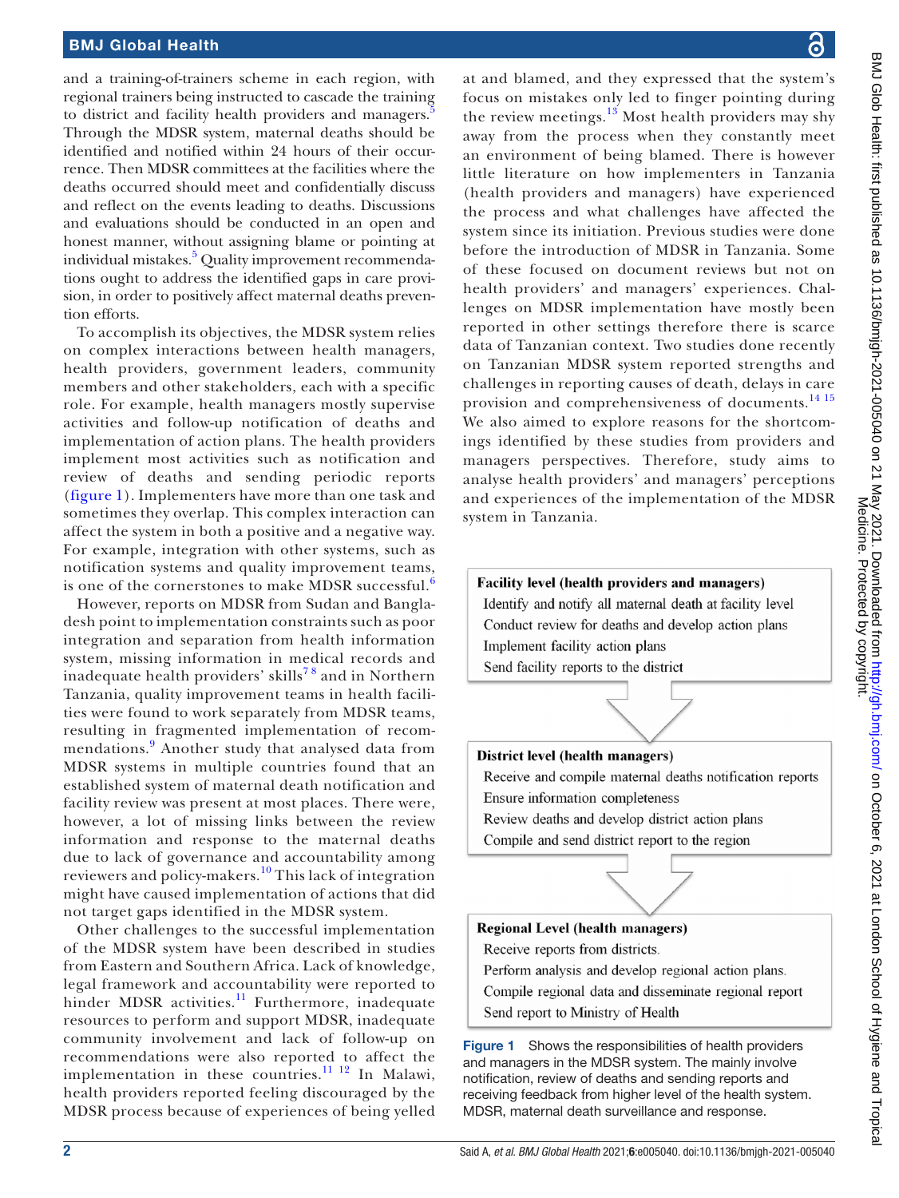### BMJ Global Health

and a training-of-trainers scheme in each region, with regional trainers being instructed to cascade the training to district and facility health providers and managers.<sup>[5](#page-9-3)</sup> Through the MDSR system, maternal deaths should be identified and notified within 24 hours of their occurrence. Then MDSR committees at the facilities where the deaths occurred should meet and confidentially discuss and reflect on the events leading to deaths. Discussions and evaluations should be conducted in an open and honest manner, without assigning blame or pointing at individual mistakes.<sup>[5](#page-9-3)</sup> Quality improvement recommendations ought to address the identified gaps in care provision, in order to positively affect maternal deaths prevention efforts.

To accomplish its objectives, the MDSR system relies on complex interactions between health managers, health providers, government leaders, community members and other stakeholders, each with a specific role. For example, health managers mostly supervise activities and follow-up notification of deaths and implementation of action plans. The health providers implement most activities such as notification and review of deaths and sending periodic reports ([figure](#page-1-0) 1). Implementers have more than one task and sometimes they overlap. This complex interaction can affect the system in both a positive and a negative way. For example, integration with other systems, such as notification systems and quality improvement teams, is one of the cornerstones to make MDSR successful.<sup>[6](#page-9-4)</sup>

However, reports on MDSR from Sudan and Bangladesh point to implementation constraints such as poor integration and separation from health information system, missing information in medical records and inadequate health providers' skills<sup>78</sup> and in Northern Tanzania, quality improvement teams in health facilities were found to work separately from MDSR teams, resulting in fragmented implementation of recom-mendations.<sup>[9](#page-9-6)</sup> Another study that analysed data from MDSR systems in multiple countries found that an established system of maternal death notification and facility review was present at most places. There were, however, a lot of missing links between the review information and response to the maternal deaths due to lack of governance and accountability among reviewers and policy-makers.[10](#page-9-7) This lack of integration might have caused implementation of actions that did not target gaps identified in the MDSR system.

Other challenges to the successful implementation of the MDSR system have been described in studies from Eastern and Southern Africa. Lack of knowledge, legal framework and accountability were reported to hinder MDSR activities.<sup>[11](#page-9-8)</sup> Furthermore, inadequate resources to perform and support MDSR, inadequate community involvement and lack of follow-up on recommendations were also reported to affect the implementation in these countries.<sup>11 12</sup> In Malawi, health providers reported feeling discouraged by the MDSR process because of experiences of being yelled

at and blamed, and they expressed that the system's focus on mistakes only led to finger pointing during the review meetings. $13$  Most health providers may shy away from the process when they constantly meet an environment of being blamed. There is however little literature on how implementers in Tanzania (health providers and managers) have experienced the process and what challenges have affected the system since its initiation. Previous studies were done before the introduction of MDSR in Tanzania. Some of these focused on document reviews but not on health providers' and managers' experiences. Challenges on MDSR implementation have mostly been reported in other settings therefore there is scarce data of Tanzanian context. Two studies done recently on Tanzanian MDSR system reported strengths and challenges in reporting causes of death, delays in care provision and comprehensiveness of documents.<sup>[14 15](#page-9-10)</sup> We also aimed to explore reasons for the shortcomings identified by these studies from providers and managers perspectives. Therefore, study aims to analyse health providers' and managers' perceptions and experiences of the implementation of the MDSR system in Tanzania.

### **Facility level (health providers and managers)**

Identify and notify all maternal death at facility level Conduct review for deaths and develop action plans Implement facility action plans Send facility reports to the district



Receive and compile maternal deaths notification reports Ensure information completeness

- Review deaths and develop district action plans
- Compile and send district report to the region



- Perform analysis and develop regional action plans. Compile regional data and disseminate regional report
- Send report to Ministry of Health

<span id="page-1-0"></span>Figure 1 Shows the responsibilities of health providers and managers in the MDSR system. The mainly involve notification, review of deaths and sending reports and receiving feedback from higher level of the health system. MDSR, maternal death surveillance and response.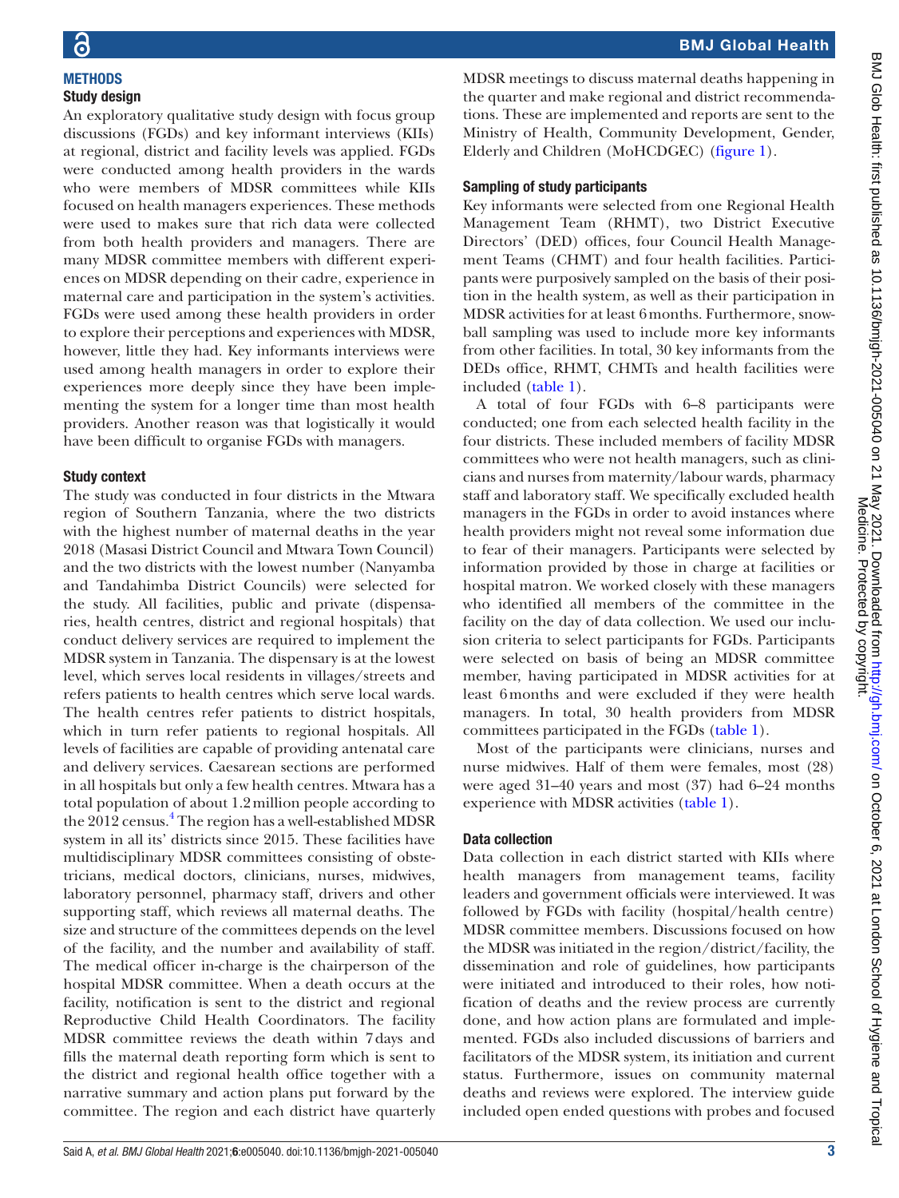**METHODS** Study design

### BMJ Global Health

An exploratory qualitative study design with focus group discussions (FGDs) and key informant interviews (KIIs) at regional, district and facility levels was applied. FGDs were conducted among health providers in the wards who were members of MDSR committees while KIIs focused on health managers experiences. These methods were used to makes sure that rich data were collected from both health providers and managers. There are many MDSR committee members with different experiences on MDSR depending on their cadre, experience in maternal care and participation in the system's activities. FGDs were used among these health providers in order to explore their perceptions and experiences with MDSR, however, little they had. Key informants interviews were used among health managers in order to explore their experiences more deeply since they have been implementing the system for a longer time than most health providers. Another reason was that logistically it would have been difficult to organise FGDs with managers. included [\(table](#page-3-0) 1).

### Study context

The study was conducted in four districts in the Mtwara region of Southern Tanzania, where the two districts with the highest number of maternal deaths in the year 2018 (Masasi District Council and Mtwara Town Council) and the two districts with the lowest number (Nanyamba and Tandahimba District Councils) were selected for the study. All facilities, public and private (dispensaries, health centres, district and regional hospitals) that conduct delivery services are required to implement the MDSR system in Tanzania. The dispensary is at the lowest level, which serves local residents in villages/streets and refers patients to health centres which serve local wards. The health centres refer patients to district hospitals, which in turn refer patients to regional hospitals. All levels of facilities are capable of providing antenatal care and delivery services. Caesarean sections are performed in all hospitals but only a few health centres. Mtwara has a total population of about 1.2million people according to the 2012 census.<sup>4</sup> The region has a well-established MDSR system in all its' districts since 2015. These facilities have multidisciplinary MDSR committees consisting of obstetricians, medical doctors, clinicians, nurses, midwives, laboratory personnel, pharmacy staff, drivers and other supporting staff, which reviews all maternal deaths. The size and structure of the committees depends on the level of the facility, and the number and availability of staff. The medical officer in-charge is the chairperson of the hospital MDSR committee. When a death occurs at the facility, notification is sent to the district and regional Reproductive Child Health Coordinators. The facility MDSR committee reviews the death within 7days and fills the maternal death reporting form which is sent to the district and regional health office together with a narrative summary and action plans put forward by the committee. The region and each district have quarterly

MDSR meetings to discuss maternal deaths happening in the quarter and make regional and district recommendations. These are implemented and reports are sent to the Ministry of Health, Community Development, Gender, Elderly and Children (MoHCDGEC) [\(figure](#page-1-0) 1).

### Sampling of study participants

Key informants were selected from one Regional Health Management Team (RHMT), two District Executive Directors' (DED) offices, four Council Health Management Teams (CHMT) and four health facilities. Participants were purposively sampled on the basis of their position in the health system, as well as their participation in MDSR activities for at least 6months. Furthermore, snowball sampling was used to include more key informants from other facilities. In total, 30 key informants from the DEDs office, RHMT, CHMTs and health facilities were

A total of four FGDs with 6–8 participants were conducted; one from each selected health facility in the four districts. These included members of facility MDSR committees who were not health managers, such as clinicians and nurses from maternity/labour wards, pharmacy staff and laboratory staff. We specifically excluded health managers in the FGDs in order to avoid instances where health providers might not reveal some information due to fear of their managers. Participants were selected by information provided by those in charge at facilities or hospital matron. We worked closely with these managers who identified all members of the committee in the facility on the day of data collection. We used our inclusion criteria to select participants for FGDs. Participants were selected on basis of being an MDSR committee member, having participated in MDSR activities for at least 6months and were excluded if they were health managers. In total, 30 health providers from MDSR committees participated in the FGDs ([table](#page-3-0) 1).

Most of the participants were clinicians, nurses and nurse midwives. Half of them were females, most (28) were aged 31–40 years and most (37) had 6–24 months experience with MDSR activities [\(table](#page-3-0) 1).

### Data collection

Data collection in each district started with KIIs where health managers from management teams, facility leaders and government officials were interviewed. It was followed by FGDs with facility (hospital/health centre) MDSR committee members. Discussions focused on how the MDSR was initiated in the region/district/facility, the dissemination and role of guidelines, how participants were initiated and introduced to their roles, how notification of deaths and the review process are currently done, and how action plans are formulated and implemented. FGDs also included discussions of barriers and facilitators of the MDSR system, its initiation and current status. Furthermore, issues on community maternal deaths and reviews were explored. The interview guide included open ended questions with probes and focused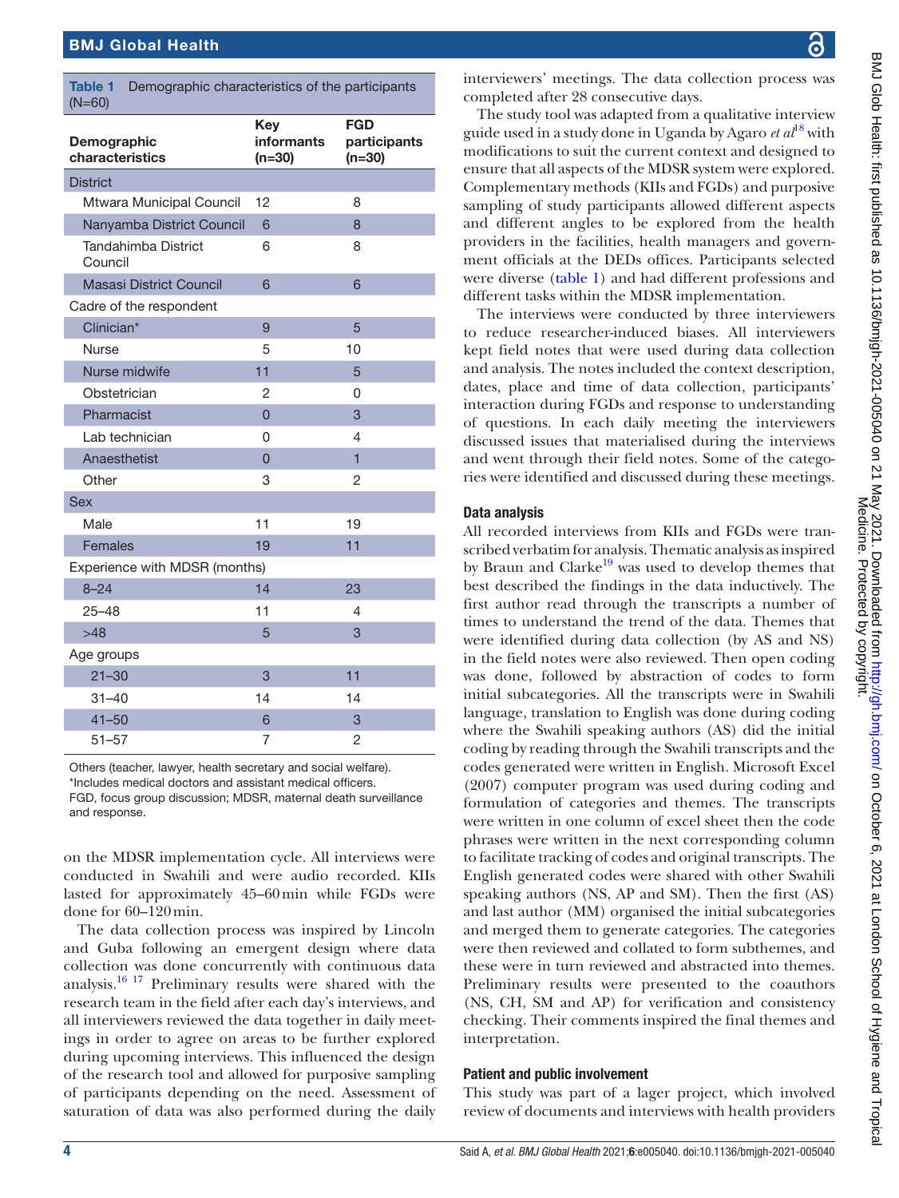<span id="page-3-0"></span>

| <b>Table 1</b><br>Demographic characteristics of the participants<br>$(N=60)$ |                                      |                                        |  |
|-------------------------------------------------------------------------------|--------------------------------------|----------------------------------------|--|
| Demographic<br>characteristics                                                | Key<br><b>informants</b><br>$(n=30)$ | <b>FGD</b><br>participants<br>$(n=30)$ |  |
| <b>District</b>                                                               |                                      |                                        |  |
| Mtwara Municipal Council                                                      | 12                                   | 8                                      |  |
| Nanyamba District Council                                                     | 6                                    | 8                                      |  |
| <b>Tandahimba District</b><br>Council                                         | 6                                    | 8                                      |  |
| Masasi District Council                                                       | 6                                    | 6                                      |  |
| Cadre of the respondent                                                       |                                      |                                        |  |
| Clinician*                                                                    | 9                                    | 5                                      |  |
| <b>Nurse</b>                                                                  | 5                                    | 10                                     |  |
| Nurse midwife                                                                 | 11                                   | 5                                      |  |
| Obstetrician                                                                  | 2                                    | 0                                      |  |
| Pharmacist                                                                    | 0                                    | 3                                      |  |
| Lab technician                                                                | 0                                    | 4                                      |  |
| Anaesthetist                                                                  | $\overline{0}$                       | $\overline{1}$                         |  |
| Other                                                                         | 3                                    | 2                                      |  |
| <b>Sex</b>                                                                    |                                      |                                        |  |
| Male                                                                          | 11                                   | 19                                     |  |
| <b>Females</b>                                                                | 19                                   | 11                                     |  |
| Experience with MDSR (months)                                                 |                                      |                                        |  |
| $8 - 24$                                                                      | 14                                   | 23                                     |  |
| 25-48                                                                         | 11                                   | 4                                      |  |
| >48                                                                           | 5                                    | 3                                      |  |
| Age groups                                                                    |                                      |                                        |  |
| $21 - 30$                                                                     | 3                                    | 11                                     |  |
| 31–40                                                                         | 14                                   | 14                                     |  |
| $41 - 50$                                                                     | 6                                    | 3                                      |  |
| $51 - 57$                                                                     | 7                                    | $\overline{c}$                         |  |

Others (teacher, lawyer, health secretary and social welfare). \*Includes medical doctors and assistant medical officers. FGD, focus group discussion; MDSR, maternal death surveillance and response.

on the MDSR implementation cycle. All interviews were conducted in Swahili and were audio recorded. KIIs lasted for approximately 45–60min while FGDs were done for 60–120min.

The data collection process was inspired by Lincoln and Guba following an emergent design where data collection was done concurrently with continuous data analysis.<sup>16 17</sup> Preliminary results were shared with the research team in the field after each day's interviews, and all interviewers reviewed the data together in daily meetings in order to agree on areas to be further explored during upcoming interviews. This influenced the design of the research tool and allowed for purposive sampling of participants depending on the need. Assessment of saturation of data was also performed during the daily

interviewers' meetings. The data collection process was completed after 28 consecutive days.

The study tool was adapted from a qualitative interview guide used in a study done in Uganda by Agaro *et al*[18](#page-9-12) with modifications to suit the current context and designed to ensure that all aspects of the MDSR system were explored. Complementary methods (KIIs and FGDs) and purposive sampling of study participants allowed different aspects and different angles to be explored from the health providers in the facilities, health managers and government officials at the DEDs offices. Participants selected were diverse [\(table](#page-3-0) 1) and had different professions and different tasks within the MDSR implementation.

The interviews were conducted by three interviewers to reduce researcher-induced biases. All interviewers kept field notes that were used during data collection and analysis. The notes included the context description, dates, place and time of data collection, participants' interaction during FGDs and response to understanding of questions. In each daily meeting the interviewers discussed issues that materialised during the interviews and went through their field notes. Some of the categories were identified and discussed during these meetings.

### Data analysis

All recorded interviews from KIIs and FGDs were transcribed verbatim for analysis. Thematic analysis as inspired by Braun and Clarke<sup>[19](#page-9-13)</sup> was used to develop themes that best described the findings in the data inductively. The first author read through the transcripts a number of times to understand the trend of the data. Themes that were identified during data collection (by AS and NS) in the field notes were also reviewed. Then open coding was done, followed by abstraction of codes to form initial subcategories. All the transcripts were in Swahili language, translation to English was done during coding where the Swahili speaking authors (AS) did the initial coding by reading through the Swahili transcripts and the codes generated were written in English. Microsoft Excel (2007) computer program was used during coding and formulation of categories and themes. The transcripts were written in one column of excel sheet then the code phrases were written in the next corresponding column to facilitate tracking of codes and original transcripts. The English generated codes were shared with other Swahili speaking authors (NS, AP and SM). Then the first (AS) and last author (MM) organised the initial subcategories and merged them to generate categories. The categories were then reviewed and collated to form subthemes, and these were in turn reviewed and abstracted into themes. Preliminary results were presented to the coauthors (NS, CH, SM and AP) for verification and consistency checking. Their comments inspired the final themes and interpretation.

### Patient and public involvement

This study was part of a lager project, which involved review of documents and interviews with health providers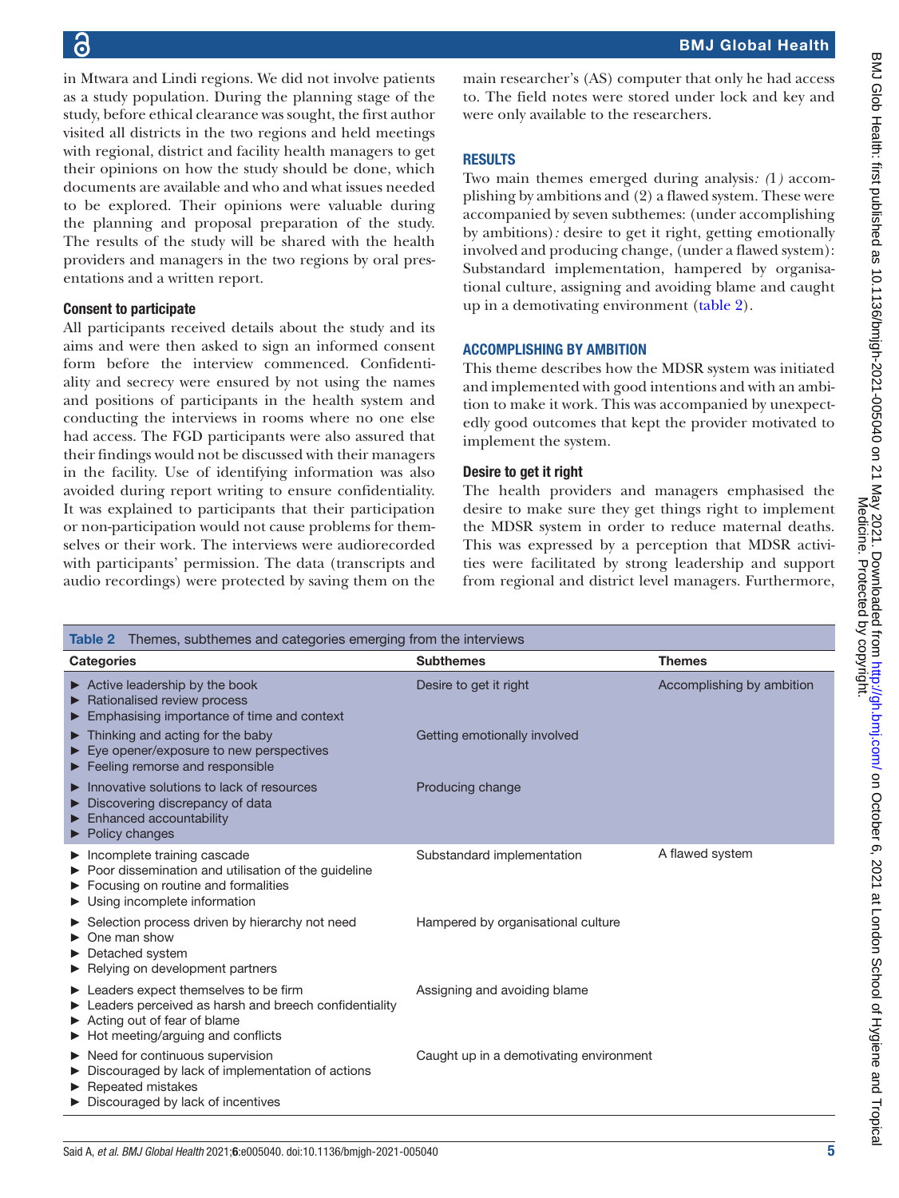# 6

in Mtwara and Lindi regions. We did not involve patients as a study population. During the planning stage of the study, before ethical clearance was sought, the first author visited all districts in the two regions and held meetings with regional, district and facility health managers to get their opinions on how the study should be done, which documents are available and who and what issues needed to be explored. Their opinions were valuable during the planning and proposal preparation of the study. The results of the study will be shared with the health providers and managers in the two regions by oral presentations and a written report.

### Consent to participate

All participants received details about the study and its aims and were then asked to sign an informed consent form before the interview commenced. Confidentiality and secrecy were ensured by not using the names and positions of participants in the health system and conducting the interviews in rooms where no one else had access. The FGD participants were also assured that their findings would not be discussed with their managers in the facility. Use of identifying information was also avoided during report writing to ensure confidentiality. It was explained to participants that their participation or non-participation would not cause problems for themselves or their work. The interviews were audiorecorded with participants' permission. The data (transcripts and audio recordings) were protected by saving them on the

main researcher's (AS) computer that only he had access to. The field notes were stored under lock and key and were only available to the researchers.

### **RESULTS**

Two main themes emerged during analysis*: (*1*)* accomplishing by ambitions and (2) a flawed system. These were accompanied by seven subthemes: (under accomplishing by ambitions)*:* desire to get it right, getting emotionally involved and producing change, (under a flawed system): Substandard implementation, hampered by organisational culture, assigning and avoiding blame and caught up in a demotivating environment [\(table](#page-4-0) 2).

### ACCOMPLISHING BY AMBITION

This theme describes how the MDSR system was initiated and implemented with good intentions and with an ambition to make it work. This was accompanied by unexpectedly good outcomes that kept the provider motivated to implement the system.

### Desire to get it right

The health providers and managers emphasised the desire to make sure they get things right to implement the MDSR system in order to reduce maternal deaths. This was expressed by a perception that MDSR activities were facilitated by strong leadership and support from regional and district level managers. Furthermore,

<span id="page-4-0"></span>

| <b>Table 2</b> Themes, subthemes and categories emerging from the interviews                                                                                                                       |                                         |                           |  |
|----------------------------------------------------------------------------------------------------------------------------------------------------------------------------------------------------|-----------------------------------------|---------------------------|--|
| <b>Categories</b>                                                                                                                                                                                  | <b>Subthemes</b>                        | <b>Themes</b>             |  |
| $\triangleright$ Active leadership by the book<br>Rationalised review process<br>Emphasising importance of time and context                                                                        | Desire to get it right                  | Accomplishing by ambition |  |
| Thinking and acting for the baby<br>Eye opener/exposure to new perspectives<br>$\blacktriangleright$ Feeling remorse and responsible                                                               | Getting emotionally involved            |                           |  |
| Innovative solutions to lack of resources<br>Discovering discrepancy of data<br>Enhanced accountability<br>$\blacktriangleright$ Policy changes                                                    | Producing change                        |                           |  |
| $\blacktriangleright$ Incomplete training cascade<br>▶ Poor dissemination and utilisation of the guideline<br>Focusing on routine and formalities<br>$\triangleright$ Using incomplete information | Substandard implementation              | A flawed system           |  |
| Selection process driven by hierarchy not need<br>One man show<br>▶ Detached system<br>Relying on development partners                                                                             | Hampered by organisational culture      |                           |  |
| ► Leaders expect themselves to be firm<br>Eeaders perceived as harsh and breech confidentiality<br>Acting out of fear of blame<br>Hot meeting/arguing and conflicts                                | Assigning and avoiding blame            |                           |  |
| $\blacktriangleright$ Need for continuous supervision<br>Discouraged by lack of implementation of actions<br>Repeated mistakes<br>Discouraged by lack of incentives                                | Caught up in a demotivating environment |                           |  |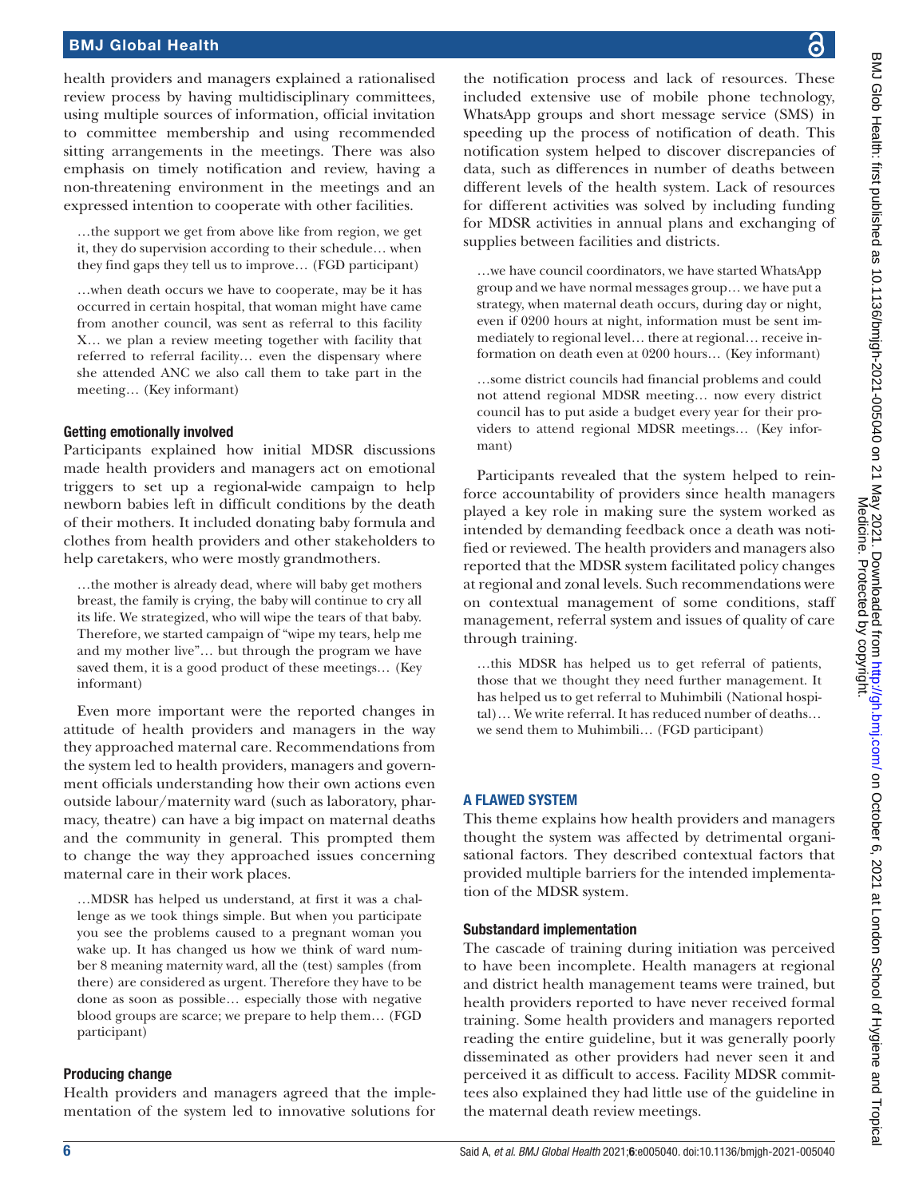health providers and managers explained a rationalised review process by having multidisciplinary committees, using multiple sources of information, official invitation to committee membership and using recommended sitting arrangements in the meetings. There was also emphasis on timely notification and review, having a non-threatening environment in the meetings and an expressed intention to cooperate with other facilities.

…the support we get from above like from region, we get it, they do supervision according to their schedule… when they find gaps they tell us to improve… (FGD participant)

…when death occurs we have to cooperate, may be it has occurred in certain hospital, that woman might have came from another council, was sent as referral to this facility X… we plan a review meeting together with facility that referred to referral facility… even the dispensary where she attended ANC we also call them to take part in the meeting… (Key informant)

### Getting emotionally involved

Participants explained how initial MDSR discussions made health providers and managers act on emotional triggers to set up a regional-wide campaign to help newborn babies left in difficult conditions by the death of their mothers. It included donating baby formula and clothes from health providers and other stakeholders to help caretakers, who were mostly grandmothers.

…the mother is already dead, where will baby get mothers breast, the family is crying, the baby will continue to cry all its life. We strategized, who will wipe the tears of that baby. Therefore, we started campaign of "wipe my tears, help me and my mother live"… but through the program we have saved them, it is a good product of these meetings… (Key informant)

Even more important were the reported changes in attitude of health providers and managers in the way they approached maternal care. Recommendations from the system led to health providers, managers and government officials understanding how their own actions even outside labour/maternity ward (such as laboratory, pharmacy, theatre) can have a big impact on maternal deaths and the community in general. This prompted them to change the way they approached issues concerning maternal care in their work places.

…MDSR has helped us understand, at first it was a challenge as we took things simple. But when you participate you see the problems caused to a pregnant woman you wake up. It has changed us how we think of ward number 8 meaning maternity ward, all the (test) samples (from there) are considered as urgent. Therefore they have to be done as soon as possible… especially those with negative blood groups are scarce; we prepare to help them… (FGD participant)

### Producing change

Health providers and managers agreed that the implementation of the system led to innovative solutions for

the notification process and lack of resources. These included extensive use of mobile phone technology, WhatsApp groups and short message service (SMS) in speeding up the process of notification of death. This notification system helped to discover discrepancies of data, such as differences in number of deaths between different levels of the health system. Lack of resources for different activities was solved by including funding for MDSR activities in annual plans and exchanging of supplies between facilities and districts.

…we have council coordinators, we have started WhatsApp group and we have normal messages group… we have put a strategy, when maternal death occurs, during day or night, even if 0200 hours at night, information must be sent immediately to regional level… there at regional… receive information on death even at 0200 hours… (Key informant)

…some district councils had financial problems and could not attend regional MDSR meeting… now every district council has to put aside a budget every year for their providers to attend regional MDSR meetings… (Key informant)

Participants revealed that the system helped to reinforce accountability of providers since health managers played a key role in making sure the system worked as intended by demanding feedback once a death was notified or reviewed. The health providers and managers also reported that the MDSR system facilitated policy changes at regional and zonal levels. Such recommendations were on contextual management of some conditions, staff management, referral system and issues of quality of care through training.

…this MDSR has helped us to get referral of patients, those that we thought they need further management. It has helped us to get referral to Muhimbili (National hospital)… We write referral. It has reduced number of deaths… we send them to Muhimbili… (FGD participant)

### A FLAWED SYSTEM

This theme explains how health providers and managers thought the system was affected by detrimental organisational factors. They described contextual factors that provided multiple barriers for the intended implementation of the MDSR system.

### Substandard implementation

The cascade of training during initiation was perceived to have been incomplete. Health managers at regional and district health management teams were trained, but health providers reported to have never received formal training. Some health providers and managers reported reading the entire guideline, but it was generally poorly disseminated as other providers had never seen it and perceived it as difficult to access. Facility MDSR committees also explained they had little use of the guideline in the maternal death review meetings.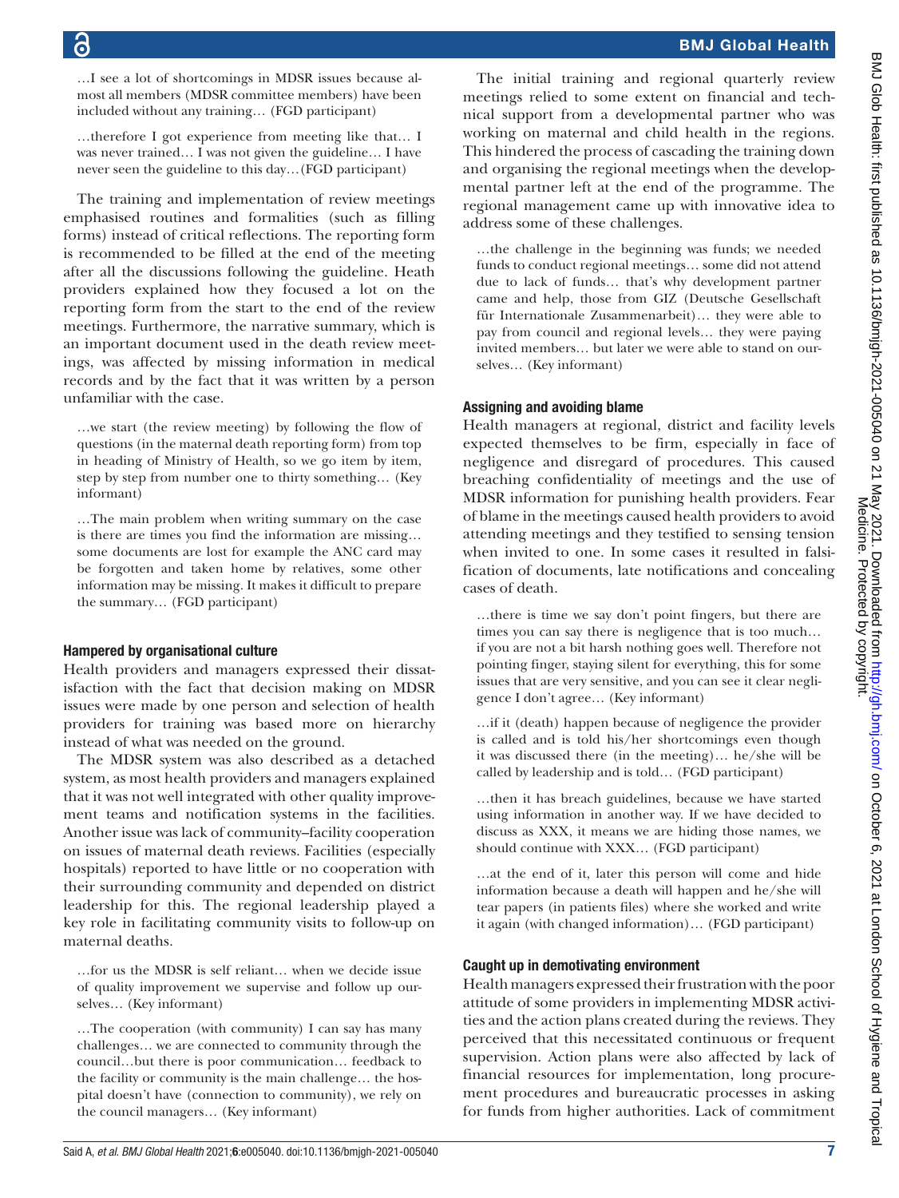…I see a lot of shortcomings in MDSR issues because almost all members (MDSR committee members) have been included without any training… (FGD participant)

…therefore I got experience from meeting like that… I was never trained… I was not given the guideline… I have never seen the guideline to this day…(FGD participant)

The training and implementation of review meetings emphasised routines and formalities (such as filling forms) instead of critical reflections. The reporting form is recommended to be filled at the end of the meeting after all the discussions following the guideline. Heath providers explained how they focused a lot on the reporting form from the start to the end of the review meetings. Furthermore, the narrative summary, which is an important document used in the death review meetings, was affected by missing information in medical records and by the fact that it was written by a person unfamiliar with the case.

…we start (the review meeting) by following the flow of questions (in the maternal death reporting form) from top in heading of Ministry of Health, so we go item by item, step by step from number one to thirty something… (Key informant)

…The main problem when writing summary on the case is there are times you find the information are missing… some documents are lost for example the ANC card may be forgotten and taken home by relatives, some other information may be missing. It makes it difficult to prepare the summary… (FGD participant)

### Hampered by organisational culture

Health providers and managers expressed their dissatisfaction with the fact that decision making on MDSR issues were made by one person and selection of health providers for training was based more on hierarchy instead of what was needed on the ground.

The MDSR system was also described as a detached system, as most health providers and managers explained that it was not well integrated with other quality improvement teams and notification systems in the facilities. Another issue was lack of community–facility cooperation on issues of maternal death reviews. Facilities (especially hospitals) reported to have little or no cooperation with their surrounding community and depended on district leadership for this. The regional leadership played a key role in facilitating community visits to follow-up on maternal deaths.

…for us the MDSR is self reliant… when we decide issue of quality improvement we supervise and follow up ourselves… (Key informant)

…The cooperation (with community) I can say has many challenges… we are connected to community through the council…but there is poor communication… feedback to the facility or community is the main challenge… the hospital doesn't have (connection to community), we rely on the council managers… (Key informant)

The initial training and regional quarterly review meetings relied to some extent on financial and technical support from a developmental partner who was working on maternal and child health in the regions. This hindered the process of cascading the training down and organising the regional meetings when the developmental partner left at the end of the programme. The regional management came up with innovative idea to address some of these challenges.

…the challenge in the beginning was funds; we needed funds to conduct regional meetings… some did not attend due to lack of funds… that's why development partner came and help, those from GIZ (Deutsche Gesellschaft für Internationale Zusammenarbeit)… they were able to pay from council and regional levels… they were paying invited members… but later we were able to stand on ourselves… (Key informant)

### Assigning and avoiding blame

Health managers at regional, district and facility levels expected themselves to be firm, especially in face of negligence and disregard of procedures. This caused breaching confidentiality of meetings and the use of MDSR information for punishing health providers. Fear of blame in the meetings caused health providers to avoid attending meetings and they testified to sensing tension when invited to one. In some cases it resulted in falsification of documents, late notifications and concealing cases of death.

…there is time we say don't point fingers, but there are times you can say there is negligence that is too much… if you are not a bit harsh nothing goes well. Therefore not pointing finger, staying silent for everything, this for some issues that are very sensitive, and you can see it clear negligence I don't agree… (Key informant)

…if it (death) happen because of negligence the provider is called and is told his/her shortcomings even though it was discussed there (in the meeting)… he/she will be called by leadership and is told… (FGD participant)

…then it has breach guidelines, because we have started using information in another way. If we have decided to discuss as XXX, it means we are hiding those names, we should continue with XXX… (FGD participant)

…at the end of it, later this person will come and hide information because a death will happen and he/she will tear papers (in patients files) where she worked and write it again (with changed information)… (FGD participant)

### Caught up in demotivating environment

Health managers expressed their frustration with the poor attitude of some providers in implementing MDSR activities and the action plans created during the reviews. They perceived that this necessitated continuous or frequent supervision. Action plans were also affected by lack of financial resources for implementation, long procurement procedures and bureaucratic processes in asking for funds from higher authorities. Lack of commitment

Medicine. Protected by copyright.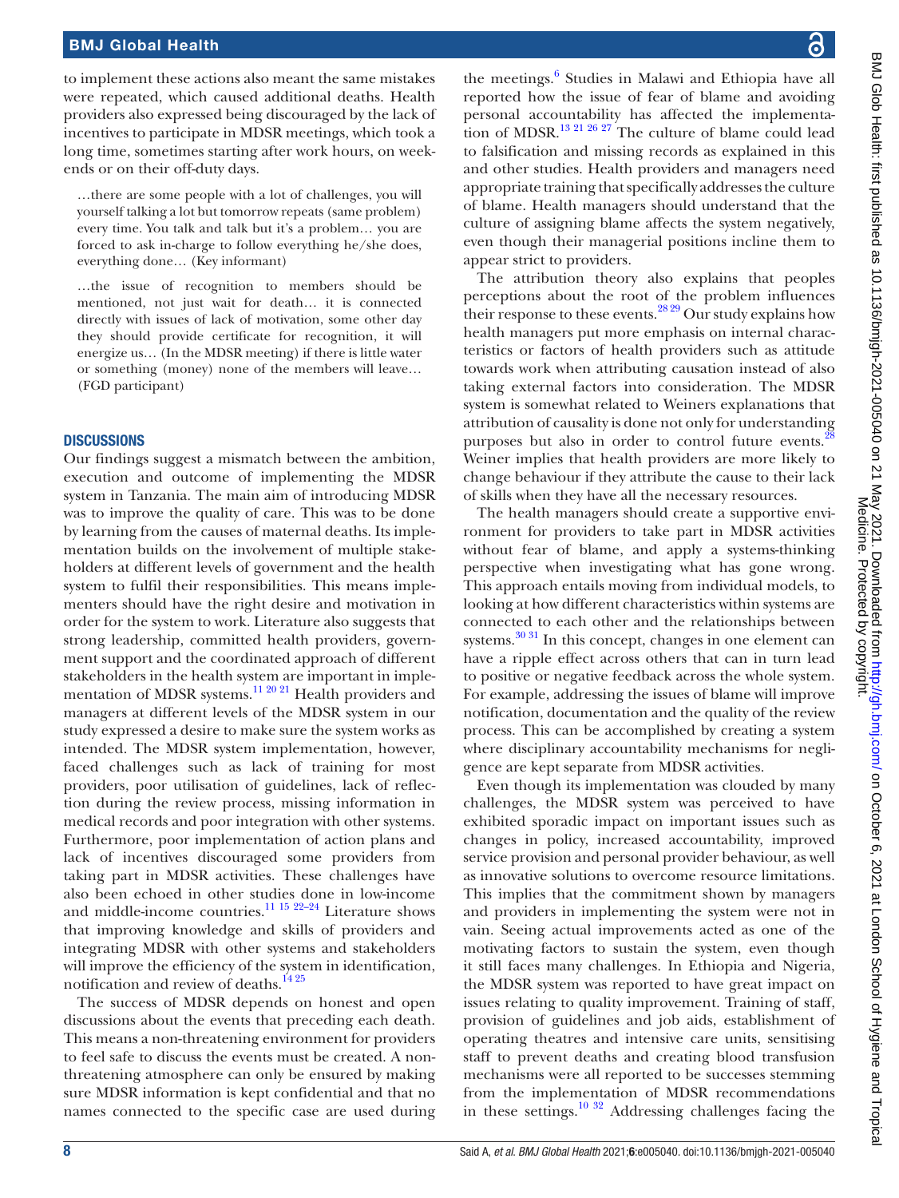to implement these actions also meant the same mistakes were repeated, which caused additional deaths. Health providers also expressed being discouraged by the lack of incentives to participate in MDSR meetings, which took a long time, sometimes starting after work hours, on weekends or on their off-duty days.

…there are some people with a lot of challenges, you will yourself talking a lot but tomorrow repeats (same problem) every time. You talk and talk but it's a problem… you are forced to ask in-charge to follow everything he/she does, everything done… (Key informant)

…the issue of recognition to members should be mentioned, not just wait for death… it is connected directly with issues of lack of motivation, some other day they should provide certificate for recognition, it will energize us… (In the MDSR meeting) if there is little water or something (money) none of the members will leave… (FGD participant)

### **DISCUSSIONS**

Our findings suggest a mismatch between the ambition, execution and outcome of implementing the MDSR system in Tanzania. The main aim of introducing MDSR was to improve the quality of care. This was to be done by learning from the causes of maternal deaths. Its implementation builds on the involvement of multiple stakeholders at different levels of government and the health system to fulfil their responsibilities. This means implementers should have the right desire and motivation in order for the system to work. Literature also suggests that strong leadership, committed health providers, government support and the coordinated approach of different stakeholders in the health system are important in imple-mentation of MDSR systems.<sup>[11 20 21](#page-9-8)</sup> Health providers and managers at different levels of the MDSR system in our study expressed a desire to make sure the system works as intended. The MDSR system implementation, however, faced challenges such as lack of training for most providers, poor utilisation of guidelines, lack of reflection during the review process, missing information in medical records and poor integration with other systems. Furthermore, poor implementation of action plans and lack of incentives discouraged some providers from taking part in MDSR activities. These challenges have also been echoed in other studies done in low-income and middle-income countries.[11 15 22–24](#page-9-8) Literature shows that improving knowledge and skills of providers and integrating MDSR with other systems and stakeholders will improve the efficiency of the system in identification, notification and review of deaths.<sup>[14 25](#page-9-10)</sup>

The success of MDSR depends on honest and open discussions about the events that preceding each death. This means a non-threatening environment for providers to feel safe to discuss the events must be created. A nonthreatening atmosphere can only be ensured by making sure MDSR information is kept confidential and that no names connected to the specific case are used during

the meetings.<sup>6</sup> Studies in Malawi and Ethiopia have all reported how the issue of fear of blame and avoiding personal accountability has affected the implementa-tion of MDSR.<sup>[13 21 26 27](#page-9-9)</sup> The culture of blame could lead to falsification and missing records as explained in this and other studies. Health providers and managers need appropriate training that specifically addresses the culture of blame. Health managers should understand that the culture of assigning blame affects the system negatively, even though their managerial positions incline them to appear strict to providers.

The attribution theory also explains that peoples perceptions about the root of the problem influences their response to these events.<sup>28,29</sup> Our study explains how health managers put more emphasis on internal characteristics or factors of health providers such as attitude towards work when attributing causation instead of also taking external factors into consideration. The MDSR system is somewhat related to Weiners explanations that attribution of causality is done not only for understanding purposes but also in order to control future events.<sup>[28](#page-10-0)</sup> Weiner implies that health providers are more likely to change behaviour if they attribute the cause to their lack of skills when they have all the necessary resources.

The health managers should create a supportive environment for providers to take part in MDSR activities without fear of blame, and apply a systems-thinking perspective when investigating what has gone wrong. This approach entails moving from individual models, to looking at how different characteristics within systems are connected to each other and the relationships between systems. $30\,31$  In this concept, changes in one element can have a ripple effect across others that can in turn lead to positive or negative feedback across the whole system. For example, addressing the issues of blame will improve notification, documentation and the quality of the review process. This can be accomplished by creating a system where disciplinary accountability mechanisms for negligence are kept separate from MDSR activities.

Even though its implementation was clouded by many challenges, the MDSR system was perceived to have exhibited sporadic impact on important issues such as changes in policy, increased accountability, improved service provision and personal provider behaviour, as well as innovative solutions to overcome resource limitations. This implies that the commitment shown by managers and providers in implementing the system were not in vain. Seeing actual improvements acted as one of the motivating factors to sustain the system, even though it still faces many challenges. In Ethiopia and Nigeria, the MDSR system was reported to have great impact on issues relating to quality improvement. Training of staff, provision of guidelines and job aids, establishment of operating theatres and intensive care units, sensitising staff to prevent deaths and creating blood transfusion mechanisms were all reported to be successes stemming from the implementation of MDSR recommendations in these settings.[10 32](#page-9-7) Addressing challenges facing the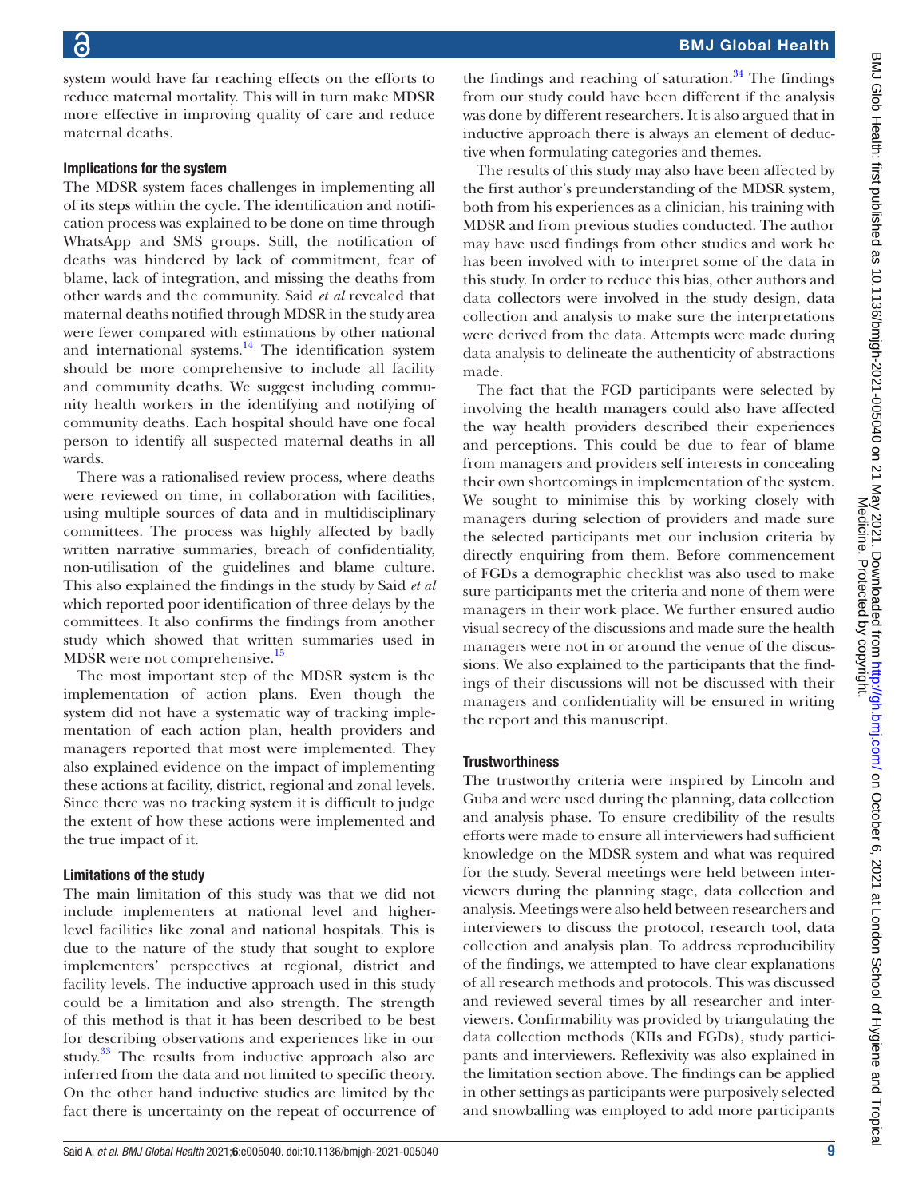BMJ Global Health

system would have far reaching effects on the efforts to reduce maternal mortality. This will in turn make MDSR more effective in improving quality of care and reduce maternal deaths.

### Implications for the system

The MDSR system faces challenges in implementing all of its steps within the cycle. The identification and notification process was explained to be done on time through WhatsApp and SMS groups. Still, the notification of deaths was hindered by lack of commitment, fear of blame, lack of integration, and missing the deaths from other wards and the community. Said *et al* revealed that maternal deaths notified through MDSR in the study area were fewer compared with estimations by other national and international systems. $14$  The identification system should be more comprehensive to include all facility and community deaths. We suggest including community health workers in the identifying and notifying of community deaths. Each hospital should have one focal person to identify all suspected maternal deaths in all wards.

There was a rationalised review process, where deaths were reviewed on time, in collaboration with facilities, using multiple sources of data and in multidisciplinary committees. The process was highly affected by badly written narrative summaries, breach of confidentiality, non-utilisation of the guidelines and blame culture. This also explained the findings in the study by Said *et al* which reported poor identification of three delays by the committees. It also confirms the findings from another study which showed that written summaries used in MDSR were not comprehensive.<sup>[15](#page-9-14)</sup>

The most important step of the MDSR system is the implementation of action plans. Even though the system did not have a systematic way of tracking implementation of each action plan, health providers and managers reported that most were implemented. They also explained evidence on the impact of implementing these actions at facility, district, regional and zonal levels. Since there was no tracking system it is difficult to judge the extent of how these actions were implemented and the true impact of it.

### Limitations of the study

The main limitation of this study was that we did not include implementers at national level and higherlevel facilities like zonal and national hospitals. This is due to the nature of the study that sought to explore implementers' perspectives at regional, district and facility levels. The inductive approach used in this study could be a limitation and also strength. The strength of this method is that it has been described to be best for describing observations and experiences like in our study.<sup>[33](#page-10-2)</sup> The results from inductive approach also are inferred from the data and not limited to specific theory. On the other hand inductive studies are limited by the fact there is uncertainty on the repeat of occurrence of

The results of this study may also have been affected by the first author's preunderstanding of the MDSR system, both from his experiences as a clinician, his training with MDSR and from previous studies conducted. The author may have used findings from other studies and work he has been involved with to interpret some of the data in this study. In order to reduce this bias, other authors and data collectors were involved in the study design, data collection and analysis to make sure the interpretations were derived from the data. Attempts were made during data analysis to delineate the authenticity of abstractions made.

The fact that the FGD participants were selected by involving the health managers could also have affected the way health providers described their experiences and perceptions. This could be due to fear of blame from managers and providers self interests in concealing their own shortcomings in implementation of the system. We sought to minimise this by working closely with managers during selection of providers and made sure the selected participants met our inclusion criteria by directly enquiring from them. Before commencement of FGDs a demographic checklist was also used to make sure participants met the criteria and none of them were managers in their work place. We further ensured audio visual secrecy of the discussions and made sure the health managers were not in or around the venue of the discussions. We also explained to the participants that the findings of their discussions will not be discussed with their managers and confidentiality will be ensured in writing the report and this manuscript.

### **Trustworthiness**

The trustworthy criteria were inspired by Lincoln and Guba and were used during the planning, data collection and analysis phase. To ensure credibility of the results efforts were made to ensure all interviewers had sufficient knowledge on the MDSR system and what was required for the study. Several meetings were held between interviewers during the planning stage, data collection and analysis. Meetings were also held between researchers and interviewers to discuss the protocol, research tool, data collection and analysis plan. To address reproducibility of the findings, we attempted to have clear explanations of all research methods and protocols. This was discussed and reviewed several times by all researcher and interviewers. Confirmability was provided by triangulating the data collection methods (KIIs and FGDs), study participants and interviewers. Reflexivity was also explained in the limitation section above. The findings can be applied in other settings as participants were purposively selected and snowballing was employed to add more participants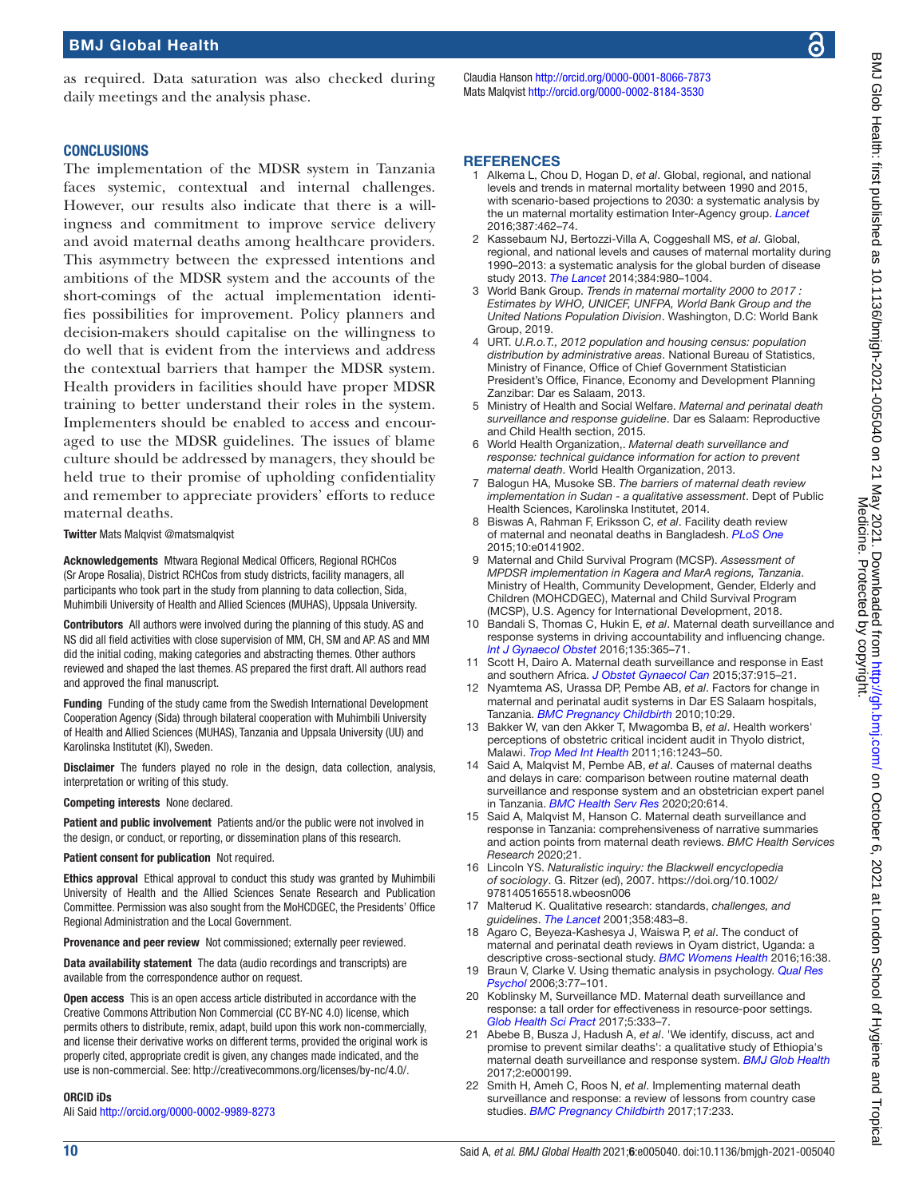as required. Data saturation was also checked during daily meetings and the analysis phase.

# Claudia Hanson <http://orcid.org/0000-0001-8066-7873>

# BMJ Glob Health: first published as 10.1136/bmigh-2021-005040 on 21 May 2021. Downloaded from http://gh.bmj.com/ on October 6, 2021 at London School of Hygiene and Tropical<br>Medicine. Protest as 10.1136/bmigh-2021-005040 on BMJ Glob Health: first published as 10.1136/bmlgh-2021-005040 on 21 May 2021. Downloaded from Http://gh.bmj.com/ on October 6, 2021 at London School of Hygiene and Tropical Medicine. Protected by copyright.

### **CONCLUSIONS**

The implementation of the MDSR system in Tanzania faces systemic, contextual and internal challenges. However, our results also indicate that there is a willingness and commitment to improve service delivery and avoid maternal deaths among healthcare providers. This asymmetry between the expressed intentions and ambitions of the MDSR system and the accounts of the short-comings of the actual implementation identifies possibilities for improvement. Policy planners and decision-makers should capitalise on the willingness to do well that is evident from the interviews and address the contextual barriers that hamper the MDSR system. Health providers in facilities should have proper MDSR training to better understand their roles in the system. Implementers should be enabled to access and encouraged to use the MDSR guidelines. The issues of blame culture should be addressed by managers, they should be held true to their promise of upholding confidentiality and remember to appreciate providers' efforts to reduce maternal deaths.

### Twitter Mats Malqvist [@matsmalqvist](https://twitter.com/matsmalqvist)

Acknowledgements Mtwara Regional Medical Officers, Regional RCHCos (Sr Arope Rosalia), District RCHCos from study districts, facility managers, all participants who took part in the study from planning to data collection, Sida, Muhimbili University of Health and Allied Sciences (MUHAS), Uppsala University.

Contributors All authors were involved during the planning of this study. AS and NS did all field activities with close supervision of MM, CH, SM and AP. AS and MM did the initial coding, making categories and abstracting themes. Other authors reviewed and shaped the last themes. AS prepared the first draft. All authors read and approved the final manuscript.

Funding Funding of the study came from the Swedish International Development Cooperation Agency (Sida) through bilateral cooperation with Muhimbili University of Health and Allied Sciences (MUHAS), Tanzania and Uppsala University (UU) and Karolinska Institutet (KI), Sweden.

**Disclaimer** The funders played no role in the design, data collection, analysis, interpretation or writing of this study.

Competing interests None declared.

Patient and public involvement Patients and/or the public were not involved in the design, or conduct, or reporting, or dissemination plans of this research.

### Patient consent for publication Not required.

Ethics approval Ethical approval to conduct this study was granted by Muhimbili University of Health and the Allied Sciences Senate Research and Publication Committee. Permission was also sought from the MoHCDGEC, the Presidents' Office Regional Administration and the Local Government.

Provenance and peer review Not commissioned; externally peer reviewed.

Data availability statement The data (audio recordings and transcripts) are available from the correspondence author on request.

Open access This is an open access article distributed in accordance with the Creative Commons Attribution Non Commercial (CC BY-NC 4.0) license, which permits others to distribute, remix, adapt, build upon this work non-commercially, and license their derivative works on different terms, provided the original work is properly cited, appropriate credit is given, any changes made indicated, and the use is non-commercial. See:<http://creativecommons.org/licenses/by-nc/4.0/>.

### ORCID iDs

Ali Said<http://orcid.org/0000-0002-9989-8273>

# Mats Malqvist<http://orcid.org/0000-0002-8184-3530>

### **REFERENCES**

- <span id="page-9-0"></span>1 Alkema L, Chou D, Hogan D, *et al*. Global, regional, and national levels and trends in maternal mortality between 1990 and 2015, with scenario-based projections to 2030: a systematic analysis by the un maternal mortality estimation Inter-Agency group. *[Lancet](http://dx.doi.org/10.1016/S0140-6736(15)00838-7)* 2016;387:462–74.
- 2 Kassebaum NJ, Bertozzi-Villa A, Coggeshall MS, *et al*. Global, regional, and national levels and causes of maternal mortality during 1990–2013: a systematic analysis for the global burden of disease study 2013. *[The Lancet](http://dx.doi.org/10.1016/S0140-6736(14)60696-6)* 2014;384:980–1004.
- <span id="page-9-1"></span>3 World Bank Group. *Trends in maternal mortality 2000 to 2017 : Estimates by WHO, UNICEF, UNFPA, World Bank Group and the United Nations Population Division*. Washington, D.C: World Bank Group, 2019.
- <span id="page-9-2"></span>4 URT. *U.R.o.T., 2012 population and housing census: population distribution by administrative areas*. National Bureau of Statistics, Ministry of Finance, Office of Chief Government Statistician President's Office, Finance, Economy and Development Planning Zanzibar: Dar es Salaam, 2013.
- <span id="page-9-3"></span>5 Ministry of Health and Social Welfare. *Maternal and perinatal death surveillance and response guideline*. Dar es Salaam: Reproductive and Child Health section, 2015.
- <span id="page-9-4"></span>6 World Health Organization,. *Maternal death surveillance and response: technical guidance information for action to prevent maternal death*. World Health Organization, 2013.
- <span id="page-9-5"></span>7 Balogun HA, Musoke SB. *The barriers of maternal death review implementation in Sudan - a qualitative assessment*. Dept of Public Health Sciences, Karolinska Institutet, 2014.
- 8 Biswas A, Rahman F, Eriksson C, *et al*. Facility death review of maternal and neonatal deaths in Bangladesh. *[PLoS One](http://dx.doi.org/10.1371/journal.pone.0141902)* 2015;10:e0141902.
- <span id="page-9-6"></span>9 Maternal and Child Survival Program (MCSP). *Assessment of MPDSR implementation in Kagera and MarA regions, Tanzania*. Ministry of Health, Community Development, Gender, Elderly and Children (MOHCDGEC), Maternal and Child Survival Program (MCSP), U.S. Agency for International Development, 2018.
- <span id="page-9-7"></span>10 Bandali S, Thomas C, Hukin E, *et al*. Maternal death surveillance and response systems in driving accountability and influencing change. *[Int J Gynaecol Obstet](http://dx.doi.org/10.1016/j.ijgo.2016.10.002)* 2016;135:365–71.
- <span id="page-9-8"></span>11 Scott H, Dairo A. Maternal death surveillance and response in East and southern Africa. *[J Obstet Gynaecol Can](http://dx.doi.org/10.1016/S1701-2163(16)30030-5)* 2015;37:915–21.
- 12 Nyamtema AS, Urassa DP, Pembe AB, *et al*. Factors for change in maternal and perinatal audit systems in Dar ES Salaam hospitals, Tanzania. *[BMC Pregnancy Childbirth](http://dx.doi.org/10.1186/1471-2393-10-29)* 2010;10:29.
- <span id="page-9-9"></span>13 Bakker W, van den Akker T, Mwagomba B, *et al*. Health workers' perceptions of obstetric critical incident audit in Thyolo district, Malawi. *[Trop Med Int Health](http://dx.doi.org/10.1111/j.1365-3156.2011.02832.x)* 2011;16:1243–50.
- <span id="page-9-10"></span>14 Said A, Malqvist M, Pembe AB, *et al*. Causes of maternal deaths and delays in care: comparison between routine maternal death surveillance and response system and an obstetrician expert panel in Tanzania. *[BMC Health Serv Res](http://dx.doi.org/10.1186/s12913-020-05460-7)* 2020;20:614.
- <span id="page-9-14"></span>15 Said A, Malqvist M, Hanson C. Maternal death surveillance and response in Tanzania: comprehensiveness of narrative summaries and action points from maternal death reviews. *BMC Health Services Research* 2020;21.
- <span id="page-9-11"></span>16 Lincoln YS. *Naturalistic inquiry: the Blackwell encyclopedia of sociology*. G. Ritzer (ed), 2007. [https://doi.org/10.1002/](https://doi.org/10.1002/9781405165518.wbeosn006) [9781405165518.wbeosn006](https://doi.org/10.1002/9781405165518.wbeosn006)
- 17 Malterud K. Qualitative research: standards, *challenges, and guidelines*. *[The Lancet](http://dx.doi.org/10.1016/S0140-6736(01)05627-6)* 2001;358:483–8.
- <span id="page-9-12"></span>18 Agaro C, Beyeza-Kashesya J, Waiswa P, *et al*. The conduct of maternal and perinatal death reviews in Oyam district, Uganda: a descriptive cross-sectional study. *[BMC Womens Health](http://dx.doi.org/10.1186/s12905-016-0315-5)* 2016;16:38.
- <span id="page-9-13"></span>19 Braun V, Clarke V. Using thematic analysis in psychology. *[Qual Res](http://dx.doi.org/10.1191/1478088706qp063oa)  [Psychol](http://dx.doi.org/10.1191/1478088706qp063oa)* 2006;3:77–101.
- 20 Koblinsky M, Surveillance MD. Maternal death surveillance and response: a tall order for effectiveness in resource-poor settings. *[Glob Health Sci Pract](http://dx.doi.org/10.9745/GHSP-D-17-00308)* 2017;5:333–7.
- 21 Abebe B, Busza J, Hadush A, *et al*. 'We identify, discuss, act and promise to prevent similar deaths': a qualitative study of Ethiopia's maternal death surveillance and response system. *[BMJ Glob Health](http://dx.doi.org/10.1136/bmjgh-2016-000199)* 2017;2:e000199.
- 22 Smith H, Ameh C, Roos N, *et al*. Implementing maternal death surveillance and response: a review of lessons from country case studies. *[BMC Pregnancy Childbirth](http://dx.doi.org/10.1186/s12884-017-1405-6)* 2017;17:233.